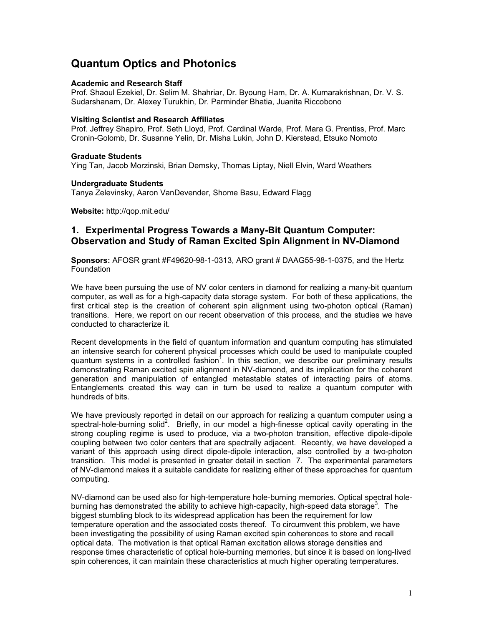# Quantum Optics and Photonics

#### Academic and Research Staff

Prof. Shaoul Ezekiel, Dr. Selim M. Shahriar, Dr. Byoung Ham, Dr. A. Kumarakrishnan, Dr. V. S. Sudarshanam, Dr. Alexey Turukhin, Dr. Parminder Bhatia, Juanita Riccobono

### Visiting Scientist and Research Affiliates

Prof. Jeffrey Shapiro, Prof. Seth Lloyd, Prof. Cardinal Warde, Prof. Mara G. Prentiss, Prof. Marc Cronin-Golomb, Dr. Susanne Yelin, Dr. Misha Lukin, John D. Kierstead, Etsuko Nomoto

#### Graduate Students

Ying Tan, Jacob Morzinski, Brian Demsky, Thomas Liptay, Niell Elvin, Ward Weathers

#### Undergraduate Students

Tanya Zelevinsky, Aaron VanDevender, Shome Basu, Edward Flagg

Website: http://qop.mit.edu/

# 1. Experimental Progress Towards a Many-Bit Quantum Computer: Observation and Study of Raman Excited Spin Alignment in NV-Diamond

Sponsors: AFOSR grant #F49620-98-1-0313, ARO grant # DAAG55-98-1-0375, and the Hertz Foundation

We have been pursuing the use of NV color centers in diamond for realizing a many-bit quantum computer, as well as for a high-capacity data storage system. For both of these applications, the first critical step is the creation of coherent spin alignment using two-photon optical (Raman) transitions. Here, we report on our recent observation of this process, and the studies we have conducted to characterize it.

Recent developments in the field of quantum information and quantum computing has stimulated an intensive search for coherent physical processes which could be used to manipulate coupled quantum systems in a controlled fashion<sup>1</sup>. In this section, we describe our preliminary results demonstrating Raman excited spin alignment in NV-diamond, and its implication for the coherent generation and manipulation of entangled metastable states of interacting pairs of atoms. Entanglements created this way can in turn be used to realize a quantum computer with hundreds of bits.

We have previously reported in detail on our approach for realizing a quantum computer using a spectral-hole-burning solid<sup>2</sup>. Briefly, in our model a high-finesse optical cavity operating in the strong coupling regime is used to produce, via a two-photon transition, effective dipole-dipole coupling between two color centers that are spectrally adjacent. Recently, we have developed a variant of this approach using direct dipole-dipole interaction, also controlled by a two-photon transition. This model is presented in greater detail in section 7. The experimental parameters of NV-diamond makes it a suitable candidate for realizing either of these approaches for quantum computing.

NV-diamond can be used also for high-temperature hole-burning memories. Optical spectral holeburning has demonstrated the ability to achieve high-capacity, high-speed data storage<sup>3</sup>. The biggest stumbling block to its widespread application has been the requirement for low temperature operation and the associated costs thereof. To circumvent this problem, we have been investigating the possibility of using Raman excited spin coherences to store and recall optical data. The motivation is that optical Raman excitation allows storage densities and response times characteristic of optical hole-burning memories, but since it is based on long-lived spin coherences, it can maintain these characteristics at much higher operating temperatures.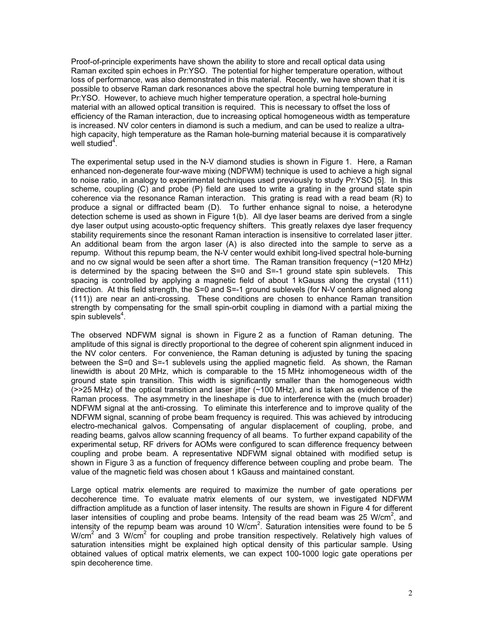Proof-of-principle experiments have shown the ability to store and recall optical data using Raman excited spin echoes in Pr:YSO. The potential for higher temperature operation, without loss of performance, was also demonstrated in this material. Recently, we have shown that it is possible to observe Raman dark resonances above the spectral hole burning temperature in Pr:YSO. However, to achieve much higher temperature operation, a spectral hole-burning material with an allowed optical transition is required. This is necessary to offset the loss of efficiency of the Raman interaction, due to increasing optical homogeneous width as temperature is increased. NV color centers in diamond is such a medium, and can be used to realize a ultrahigh capacity, high temperature as the Raman hole-burning material because it is comparatively well studied $4$ .

The experimental setup used in the N-V diamond studies is shown in Figure 1. Here, a Raman enhanced non-degenerate four-wave mixing (NDFWM) technique is used to achieve a high signal to noise ratio, in analogy to experimental techniques used previously to study Pr:YSO [5]. In this scheme, coupling (C) and probe (P) field are used to write a grating in the ground state spin coherence via the resonance Raman interaction. This grating is read with a read beam (R) to produce a signal or diffracted beam (D). To further enhance signal to noise, a heterodyne detection scheme is used as shown in Figure 1(b). All dye laser beams are derived from a single dye laser output using acousto-optic frequency shifters. This greatly relaxes dye laser frequency stability requirements since the resonant Raman interaction is insensitive to correlated laser jitter. An additional beam from the argon laser (A) is also directed into the sample to serve as a repump. Without this repump beam, the N-V center would exhibit long-lived spectral hole-burning and no cw signal would be seen after a short time. The Raman transition frequency (~120 MHz) is determined by the spacing between the S=0 and S=-1 ground state spin sublevels. This spacing is controlled by applying a magnetic field of about 1 kGauss along the crystal (111) direction. At this field strength, the S=0 and S=-1 ground sublevels (for N-V centers aligned along (111)) are near an anti-crossing. These conditions are chosen to enhance Raman transition strength by compensating for the small spin-orbit coupling in diamond with a partial mixing the spin sublevels<sup>4</sup>.

The observed NDFWM signal is shown in Figure 2 as a function of Raman detuning. The amplitude of this signal is directly proportional to the degree of coherent spin alignment induced in the NV color centers. For convenience, the Raman detuning is adjusted by tuning the spacing between the S=0 and S=-1 sublevels using the applied magnetic field. As shown, the Raman linewidth is about 20 MHz, which is comparable to the 15 MHz inhomogeneous width of the ground state spin transition. This width is significantly smaller than the homogeneous width  $(>25$  MHz) of the optical transition and laser jitter  $(-100$  MHz), and is taken as evidence of the Raman process. The asymmetry in the lineshape is due to interference with the (much broader) NDFWM signal at the anti-crossing. To eliminate this interference and to improve quality of the NDFWM signal, scanning of probe beam frequency is required. This was achieved by introducing electro-mechanical galvos. Compensating of angular displacement of coupling, probe, and reading beams, galvos allow scanning frequency of all beams. To further expand capability of the experimental setup, RF drivers for AOMs were configured to scan difference frequency between coupling and probe beam. A representative NDFWM signal obtained with modified setup is shown in Figure 3 as a function of frequency difference between coupling and probe beam. The value of the magnetic field was chosen about 1 kGauss and maintained constant.

Large optical matrix elements are required to maximize the number of gate operations per decoherence time. To evaluate matrix elements of our system, we investigated NDFWM diffraction amplitude as a function of laser intensity. The results are shown in Figure 4 for different laser intensities of coupling and probe beams. Intensity of the read beam was 25 W/cm<sup>2</sup>, and intensity of the repump beam was around 10  $W/cm<sup>2</sup>$ . Saturation intensities were found to be 5 W/cm<sup>2</sup> and 3 W/cm<sup>2</sup> for coupling and probe transition respectively. Relatively high values of saturation intensities might be explained high optical density of this particular sample. Using obtained values of optical matrix elements, we can expect 100-1000 logic gate operations per spin decoherence time.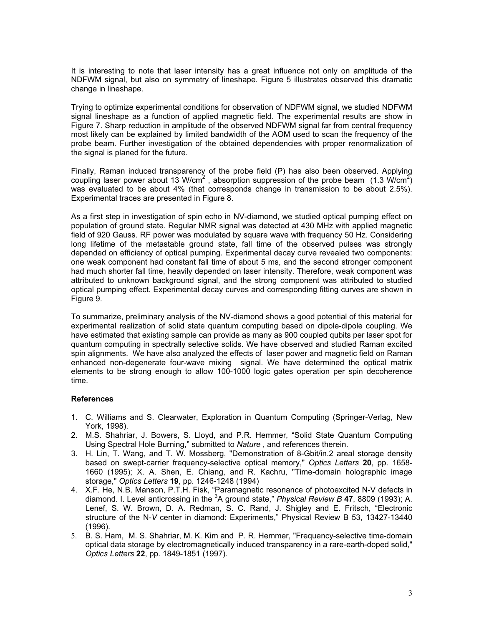It is interesting to note that laser intensity has a great influence not only on amplitude of the NDFWM signal, but also on symmetry of lineshape. Figure 5 illustrates observed this dramatic change in lineshape.

Trying to optimize experimental conditions for observation of NDFWM signal, we studied NDFWM signal lineshape as a function of applied magnetic field. The experimental results are show in Figure 7. Sharp reduction in amplitude of the observed NDFWM signal far from central frequency most likely can be explained by limited bandwidth of the AOM used to scan the frequency of the probe beam. Further investigation of the obtained dependencies with proper renormalization of the signal is planed for the future.

Finally, Raman induced transparency of the probe field (P) has also been observed. Applying coupling laser power about 13 W/cm<sup>2</sup>, absorption suppression of the probe beam  $(1.3 \text{ W/cm}^2)$ was evaluated to be about 4% (that corresponds change in transmission to be about 2.5%). Experimental traces are presented in Figure 8.

As a first step in investigation of spin echo in NV-diamond, we studied optical pumping effect on population of ground state. Regular NMR signal was detected at 430 MHz with applied magnetic field of 920 Gauss. RF power was modulated by square wave with frequency 50 Hz. Considering long lifetime of the metastable ground state, fall time of the observed pulses was strongly depended on efficiency of optical pumping. Experimental decay curve revealed two components: one weak component had constant fall time of about 5 ms, and the second stronger component had much shorter fall time, heavily depended on laser intensity. Therefore, weak component was attributed to unknown background signal, and the strong component was attributed to studied optical pumping effect. Experimental decay curves and corresponding fitting curves are shown in Figure 9.

To summarize, preliminary analysis of the NV-diamond shows a good potential of this material for experimental realization of solid state quantum computing based on dipole-dipole coupling. We have estimated that existing sample can provide as many as 900 coupled qubits per laser spot for quantum computing in spectrally selective solids. We have observed and studied Raman excited spin alignments. We have also analyzed the effects of laser power and magnetic field on Raman enhanced non-degenerate four-wave mixing signal. We have determined the optical matrix elements to be strong enough to allow 100-1000 logic gates operation per spin decoherence time.

#### References

- 1. C. Williams and S. Clearwater, Exploration in Quantum Computing (Springer-Verlag, New York, 1998).
- 2. M.S. Shahriar, J. Bowers, S. Lloyd, and P.R. Hemmer, "Solid State Quantum Computing Using Spectral Hole Burning," submitted to Nature , and references therein.
- 3. H. Lin, T. Wang, and T. W. Mossberg, "Demonstration of 8-Gbit/in.2 areal storage density based on swept-carrier frequency-selective optical memory," Optics Letters 20, pp. 1658-1660 (1995); X. A. Shen, E. Chiang, and R. Kachru, "Time-domain holographic image storage," Optics Letters 19, pp. 1246-1248 (1994)
- 4. X.F. He, N.B. Manson, P.T.H. Fisk, "Paramagnetic resonance of photoexcited N-V defects in diamond. I. Level anticrossing in the  ${}^{3}$ A ground state," Physical Review B 47, 8809 (1993); A. Lenef, S. W. Brown, D. A. Redman, S. C. Rand, J. Shigley and E. Fritsch, "Electronic structure of the N-V center in diamond: Experiments," Physical Review B 53, 13427-13440 (1996).
- 5. B. S. Ham, M. S. Shahriar, M. K. Kim and P. R. Hemmer, "Frequency-selective time-domain optical data storage by electromagnetically induced transparency in a rare-earth-doped solid," Optics Letters 22, pp. 1849-1851 (1997).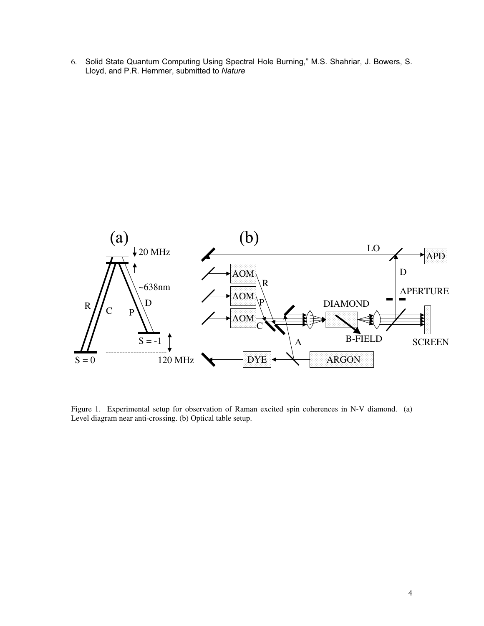6. Solid State Quantum Computing Using Spectral Hole Burning," M.S. Shahriar, J. Bowers, S. Lloyd, and P.R. Hemmer, submitted to Nature



Figure 1. Experimental setup for observation of Raman excited spin coherences in N-V diamond. (a) Level diagram near anti-crossing. (b) Optical table setup.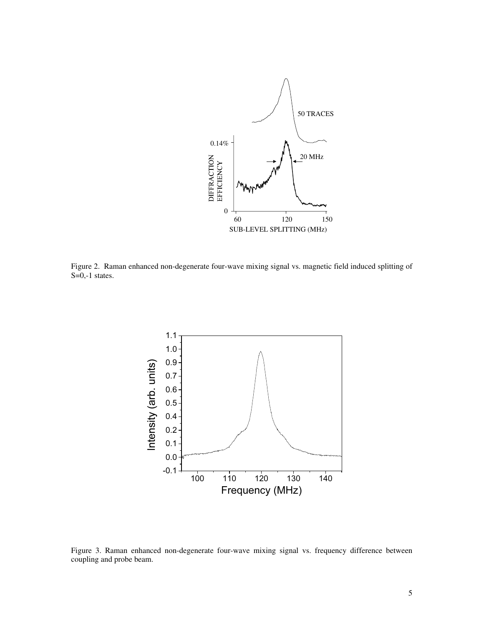

Figure 2. Raman enhanced non-degenerate four-wave mixing signal vs. magnetic field induced splitting of  $S=0,-1$  states.



Figure 3. Raman enhanced non-degenerate four-wave mixing signal vs. frequency difference between coupling and probe beam.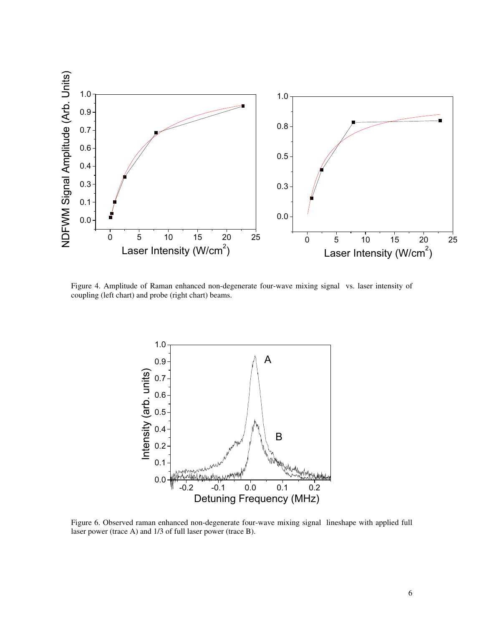

Figure 4. Amplitude of Raman enhanced non-degenerate four-wave mixing signal vs. laser intensity of coupling (left chart) and probe (right chart) beams.



Figure 6. Observed raman enhanced non-degenerate four-wave mixing signal lineshape with applied full laser power (trace A) and 1/3 of full laser power (trace B).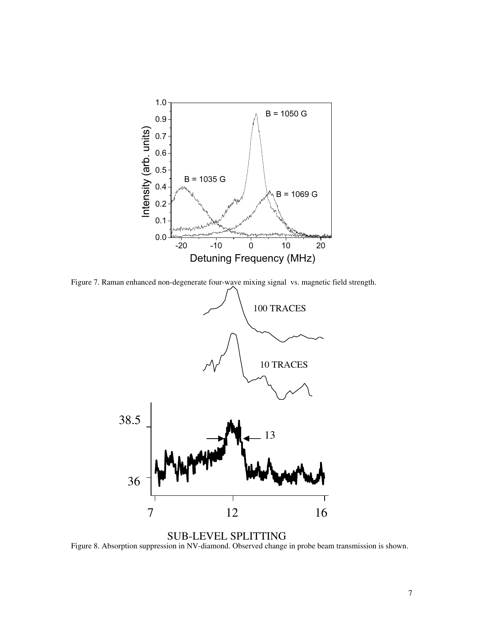

Figure 7. Raman enhanced non-degenerate four-wave mixing signal vs. magnetic field strength.



Figure 8. Absorption suppression in NV-diamond. Observed change in probe beam transmission is shown. SUB-LEVEL SPLITTING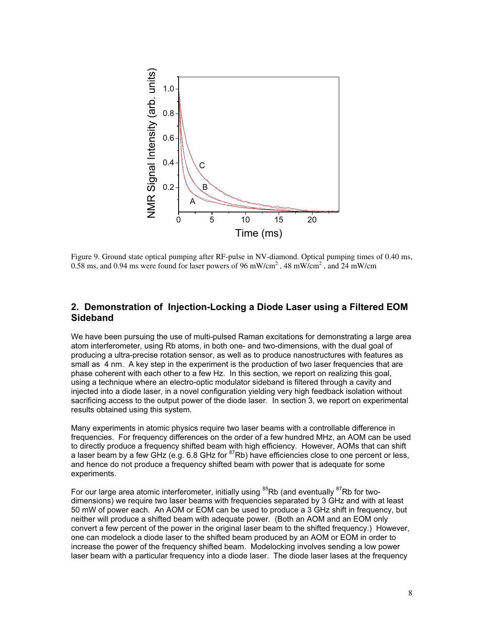

Figure 9. Ground state optical pumping after RF-pulse in NV-diamond. Optical pumping times of 0.40 ms, 0.58 ms, and 0.94 ms were found for laser powers of 96 mW/cm<sup>2</sup>, 48 mW/cm<sup>2</sup>, and 24 mW/cm

# 2. Demonstration of Injection-Locking a Diode Laser using a Filtered EOM Sideband

We have been pursuing the use of multi-pulsed Raman excitations for demonstrating a large area atom interferometer, using Rb atoms, in both one- and two-dimensions, with the dual goal of producing a ultra-precise rotation sensor, as well as to produce nanostructures with features as small as 4 nm. A key step in the experiment is the production of two laser frequencies that are phase coherent with each other to a few Hz. In this section, we report on realizing this goal, using a technique where an electro-optic modulator sideband is filtered through a cavity and injected into a diode laser, in a novel configuration yielding very high feedback isolation without sacrificing access to the output power of the diode laser. In section 3, we report on experimental results obtained using this system.

Many experiments in atomic physics require two laser beams with a controllable difference in frequencies. For frequency differences on the order of a few hundred MHz, an AOM can be used to directly produce a frequency shifted beam with high efficiency. However, AOMs that can shift a laser beam by a few GHz (e.g. 6.8 GHz for <sup>87</sup>Rb) have efficiencies close to one percent or less, and hence do not produce a frequency shifted beam with power that is adequate for some experiments.

For our large area atomic interferometer, initially using  ${}^{85}$ Rb (and eventually  ${}^{87}$ Rb for twodimensions) we require two laser beams with frequencies separated by 3 GHz and with at least 50 mW of power each. An AOM or EOM can be used to produce a 3 GHz shift in frequency, but neither will produce a shifted beam with adequate power. (Both an AOM and an EOM only convert a few percent of the power in the original laser beam to the shifted frequency.) However, one can modelock a diode laser to the shifted beam produced by an AOM or EOM in order to increase the power of the frequency shifted beam. Modelocking involves sending a low power laser beam with a particular frequency into a diode laser. The diode laser lases at the frequency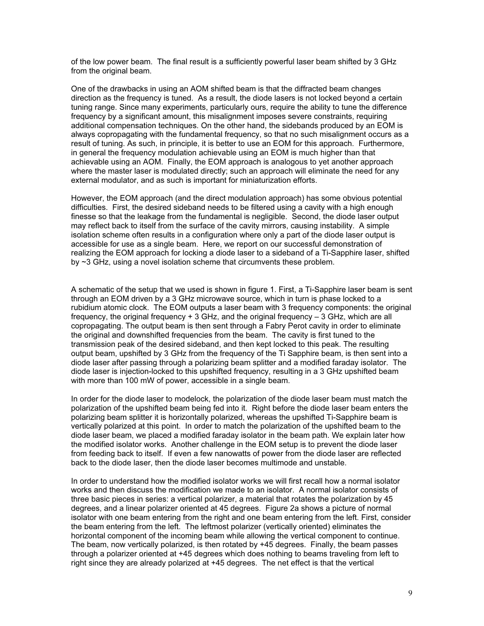of the low power beam. The final result is a sufficiently powerful laser beam shifted by 3 GHz from the original beam.

One of the drawbacks in using an AOM shifted beam is that the diffracted beam changes direction as the frequency is tuned. As a result, the diode lasers is not locked beyond a certain tuning range. Since many experiments, particularly ours, require the ability to tune the difference frequency by a significant amount, this misalignment imposes severe constraints, requiring additional compensation techniques. On the other hand, the sidebands produced by an EOM is always copropagating with the fundamental frequency, so that no such misalignment occurs as a result of tuning. As such, in principle, it is better to use an EOM for this approach. Furthermore, in general the frequency modulation achievable using an EOM is much higher than that achievable using an AOM. Finally, the EOM approach is analogous to yet another approach where the master laser is modulated directly; such an approach will eliminate the need for any external modulator, and as such is important for miniaturization efforts.

However, the EOM approach (and the direct modulation approach) has some obvious potential difficulties. First, the desired sideband needs to be filtered using a cavity with a high enough finesse so that the leakage from the fundamental is negligible. Second, the diode laser output may reflect back to itself from the surface of the cavity mirrors, causing instability. A simple isolation scheme often results in a configuration where only a part of the diode laser output is accessible for use as a single beam. Here, we report on our successful demonstration of realizing the EOM approach for locking a diode laser to a sideband of a Ti-Sapphire laser, shifted by ~3 GHz, using a novel isolation scheme that circumvents these problem.

A schematic of the setup that we used is shown in figure 1. First, a Ti-Sapphire laser beam is sent through an EOM driven by a 3 GHz microwave source, which in turn is phase locked to a rubidium atomic clock. The EOM outputs a laser beam with 3 frequency components: the original frequency, the original frequency + 3 GHz, and the original frequency – 3 GHz, which are all copropagating. The output beam is then sent through a Fabry Perot cavity in order to eliminate the original and downshifted frequencies from the beam. The cavity is first tuned to the transmission peak of the desired sideband, and then kept locked to this peak. The resulting output beam, upshifted by 3 GHz from the frequency of the Ti Sapphire beam, is then sent into a diode laser after passing through a polarizing beam splitter and a modified faraday isolator. The diode laser is injection-locked to this upshifted frequency, resulting in a 3 GHz upshifted beam with more than 100 mW of power, accessible in a single beam.

In order for the diode laser to modelock, the polarization of the diode laser beam must match the polarization of the upshifted beam being fed into it. Right before the diode laser beam enters the polarizing beam splitter it is horizontally polarized, whereas the upshifted Ti-Sapphire beam is vertically polarized at this point. In order to match the polarization of the upshifted beam to the diode laser beam, we placed a modified faraday isolator in the beam path. We explain later how the modified isolator works. Another challenge in the EOM setup is to prevent the diode laser from feeding back to itself. If even a few nanowatts of power from the diode laser are reflected back to the diode laser, then the diode laser becomes multimode and unstable.

In order to understand how the modified isolator works we will first recall how a normal isolator works and then discuss the modification we made to an isolator. A normal isolator consists of three basic pieces in series: a vertical polarizer, a material that rotates the polarization by 45 degrees, and a linear polarizer oriented at 45 degrees. Figure 2a shows a picture of normal isolator with one beam entering from the right and one beam entering from the left. First, consider the beam entering from the left. The leftmost polarizer (vertically oriented) eliminates the horizontal component of the incoming beam while allowing the vertical component to continue. The beam, now vertically polarized, is then rotated by +45 degrees. Finally, the beam passes through a polarizer oriented at +45 degrees which does nothing to beams traveling from left to right since they are already polarized at +45 degrees. The net effect is that the vertical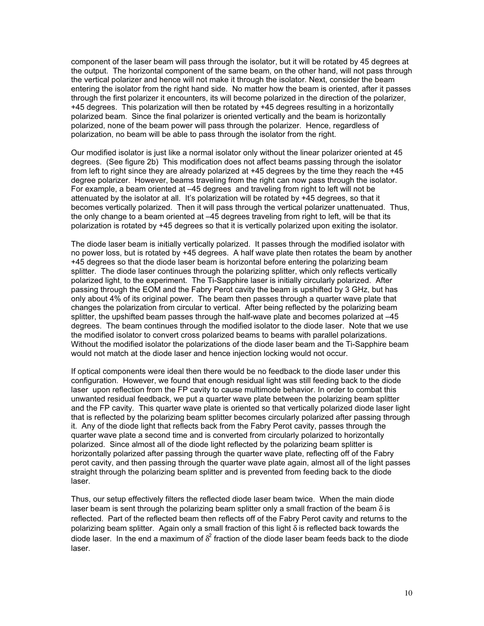component of the laser beam will pass through the isolator, but it will be rotated by 45 degrees at the output. The horizontal component of the same beam, on the other hand, will not pass through the vertical polarizer and hence will not make it through the isolator. Next, consider the beam entering the isolator from the right hand side. No matter how the beam is oriented, after it passes through the first polarizer it encounters, its will become polarized in the direction of the polarizer, +45 degrees. This polarization will then be rotated by +45 degrees resulting in a horizontally polarized beam. Since the final polarizer is oriented vertically and the beam is horizontally polarized, none of the beam power will pass through the polarizer. Hence, regardless of polarization, no beam will be able to pass through the isolator from the right.

Our modified isolator is just like a normal isolator only without the linear polarizer oriented at 45 degrees. (See figure 2b) This modification does not affect beams passing through the isolator from left to right since they are already polarized at +45 degrees by the time they reach the +45 degree polarizer. However, beams traveling from the right can now pass through the isolator. For example, a beam oriented at –45 degrees and traveling from right to left will not be attenuated by the isolator at all. It's polarization will be rotated by +45 degrees, so that it becomes vertically polarized. Then it will pass through the vertical polarizer unattenuated. Thus, the only change to a beam oriented at –45 degrees traveling from right to left, will be that its polarization is rotated by +45 degrees so that it is vertically polarized upon exiting the isolator.

The diode laser beam is initially vertically polarized. It passes through the modified isolator with no power loss, but is rotated by +45 degrees. A half wave plate then rotates the beam by another +45 degrees so that the diode laser beam is horizontal before entering the polarizing beam splitter. The diode laser continues through the polarizing splitter, which only reflects vertically polarized light, to the experiment. The Ti-Sapphire laser is initially circularly polarized. After passing through the EOM and the Fabry Perot cavity the beam is upshifted by 3 GHz, but has only about 4% of its original power. The beam then passes through a quarter wave plate that changes the polarization from circular to vertical. After being reflected by the polarizing beam splitter, the upshifted beam passes through the half-wave plate and becomes polarized at -45 degrees. The beam continues through the modified isolator to the diode laser. Note that we use the modified isolator to convert cross polarized beams to beams with parallel polarizations. Without the modified isolator the polarizations of the diode laser beam and the Ti-Sapphire beam would not match at the diode laser and hence injection locking would not occur.

If optical components were ideal then there would be no feedback to the diode laser under this configuration. However, we found that enough residual light was still feeding back to the diode laser upon reflection from the FP cavity to cause multimode behavior. In order to combat this unwanted residual feedback, we put a quarter wave plate between the polarizing beam splitter and the FP cavity. This quarter wave plate is oriented so that vertically polarized diode laser light that is reflected by the polarizing beam splitter becomes circularly polarized after passing through it. Any of the diode light that reflects back from the Fabry Perot cavity, passes through the quarter wave plate a second time and is converted from circularly polarized to horizontally polarized. Since almost all of the diode light reflected by the polarizing beam splitter is horizontally polarized after passing through the quarter wave plate, reflecting off of the Fabry perot cavity, and then passing through the quarter wave plate again, almost all of the light passes straight through the polarizing beam splitter and is prevented from feeding back to the diode laser.

Thus, our setup effectively filters the reflected diode laser beam twice. When the main diode laser beam is sent through the polarizing beam splitter only a small fraction of the beam  $\delta$  is reflected. Part of the reflected beam then reflects off of the Fabry Perot cavity and returns to the polarizing beam splitter. Again only a small fraction of this light  $\delta$  is reflected back towards the diode laser. In the end a maximum of  $\delta^2$  fraction of the diode laser beam feeds back to the diode laser.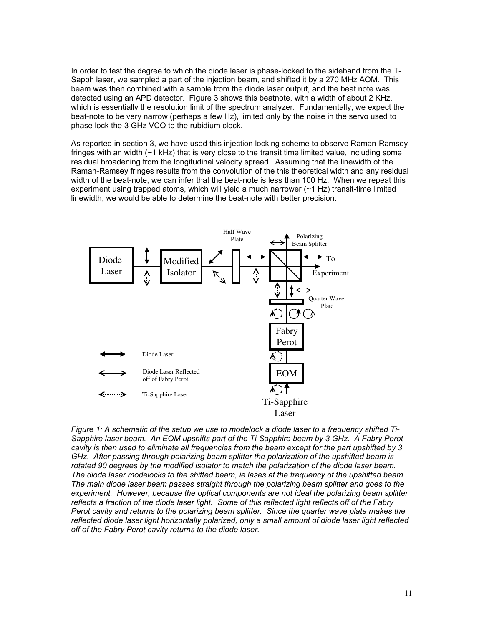In order to test the degree to which the diode laser is phase-locked to the sideband from the T-Sapph laser, we sampled a part of the injection beam, and shifted it by a 270 MHz AOM. This beam was then combined with a sample from the diode laser output, and the beat note was detected using an APD detector. Figure 3 shows this beatnote, with a width of about 2 KHz, which is essentially the resolution limit of the spectrum analyzer. Fundamentally, we expect the beat-note to be very narrow (perhaps a few Hz), limited only by the noise in the servo used to phase lock the 3 GHz VCO to the rubidium clock.

As reported in section 3, we have used this injection locking scheme to observe Raman-Ramsey fringes with an width  $(\sim 1 \text{ kHz})$  that is very close to the transit time limited value, including some residual broadening from the longitudinal velocity spread. Assuming that the linewidth of the Raman-Ramsey fringes results from the convolution of the this theoretical width and any residual width of the beat-note, we can infer that the beat-note is less than 100 Hz. When we repeat this experiment using trapped atoms, which will yield a much narrower  $(\sim 1$  Hz) transit-time limited linewidth, we would be able to determine the beat-note with better precision.



Figure 1: A schematic of the setup we use to modelock a diode laser to a frequency shifted Ti-Sapphire laser beam. An EOM upshifts part of the Ti-Sapphire beam by 3 GHz. A Fabry Perot cavity is then used to eliminate all frequencies from the beam except for the part upshifted by 3 GHz. After passing through polarizing beam splitter the polarization of the upshifted beam is rotated 90 degrees by the modified isolator to match the polarization of the diode laser beam. The diode laser modelocks to the shifted beam, ie lases at the frequency of the upshifted beam. The main diode laser beam passes straight through the polarizing beam splitter and goes to the experiment. However, because the optical components are not ideal the polarizing beam splitter reflects a fraction of the diode laser light. Some of this reflected light reflects off of the Fabry Perot cavity and returns to the polarizing beam splitter. Since the quarter wave plate makes the reflected diode laser light horizontally polarized, only a small amount of diode laser light reflected off of the Fabry Perot cavity returns to the diode laser.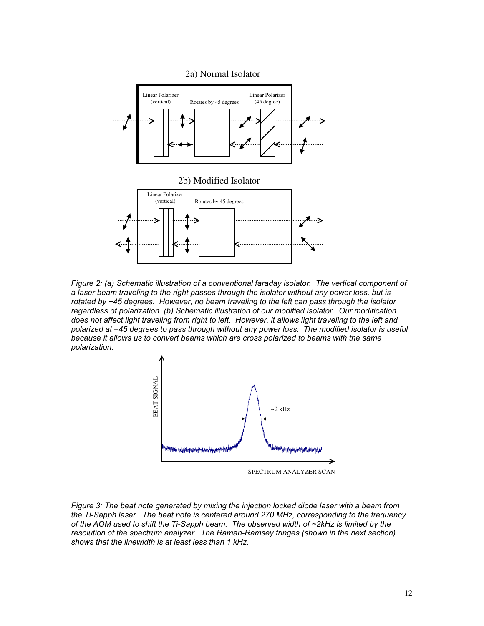

Figure 2: (a) Schematic illustration of a conventional faraday isolator. The vertical component of a laser beam traveling to the right passes through the isolator without any power loss, but is rotated by +45 degrees. However, no beam traveling to the left can pass through the isolator regardless of polarization. (b) Schematic illustration of our modified isolator. Our modification does not affect light traveling from right to left. However, it allows light traveling to the left and polarized at –45 degrees to pass through without any power loss. The modified isolator is useful because it allows us to convert beams which are cross polarized to beams with the same polarization.



Figure 3: The beat note generated by mixing the injection locked diode laser with a beam from the Ti-Sapph laser. The beat note is centered around 270 MHz, corresponding to the frequency of the AOM used to shift the Ti-Sapph beam. The observed width of ~2kHz is limited by the resolution of the spectrum analyzer. The Raman-Ramsey fringes (shown in the next section) shows that the linewidth is at least less than 1 kHz.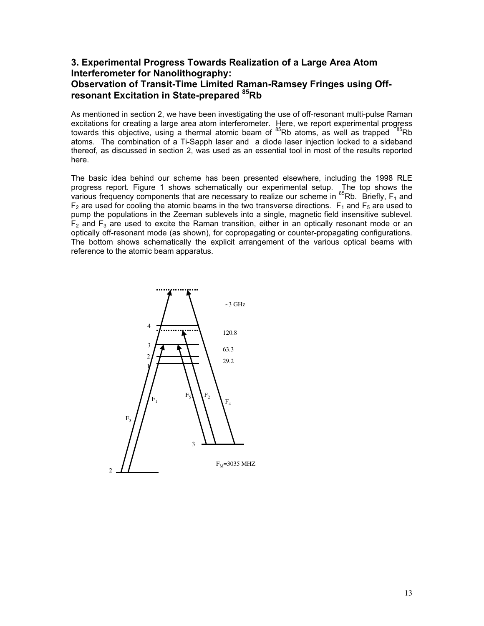# 3. Experimental Progress Towards Realization of a Large Area Atom Interferometer for Nanolithography: Observation of Transit-Time Limited Raman-Ramsey Fringes using Offresonant Excitation in State-prepared <sup>85</sup>Rb

As mentioned in section 2, we have been investigating the use of off-resonant multi-pulse Raman excitations for creating a large area atom interferometer. Here, we report experimental progress towards this objective, using a thermal atomic beam of  ${}^{85}$ Rb atoms, as well as trapped  ${}^{85}$ Rb atoms. The combination of a Ti-Sapph laser and a diode laser injection locked to a sideband thereof, as discussed in section 2, was used as an essential tool in most of the results reported here.

The basic idea behind our scheme has been presented elsewhere, including the 1998 RLE progress report. Figure 1 shows schematically our experimental setup. The top shows the<br>various frequency components that are necessary to realize our scheme in <sup>85</sup>Rb. Briefly, F<sub>1</sub> and  $F_2$  are used for cooling the atomic beams in the two transverse directions.  $F_1$  and  $F_5$  are used to pump the populations in the Zeeman sublevels into a single, magnetic field insensitive sublevel.  $F<sub>2</sub>$  and  $F<sub>3</sub>$  are used to excite the Raman transition, either in an optically resonant mode or an optically off-resonant mode (as shown), for copropagating or counter-propagating configurations. The bottom shows schematically the explicit arrangement of the various optical beams with reference to the atomic beam apparatus.

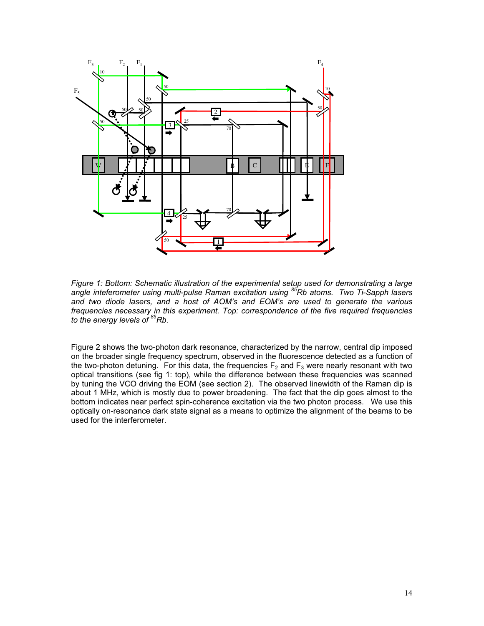

Figure 1: Bottom: Schematic illustration of the experimental setup used for demonstrating a large<br>angle inteferometer using multi-pulse Raman excitation using <sup>85</sup>Rb atoms. Two Ti-Sapph lasers and two diode lasers, and a host of AOM's and EOM's are used to generate the various frequencies necessary in this experiment. Top: correspondence of the five required frequencies to the energy levels of  $85$ Rb.

Figure 2 shows the two-photon dark resonance, characterized by the narrow, central dip imposed on the broader single frequency spectrum, observed in the fluorescence detected as a function of the two-photon detuning. For this data, the frequencies  $F_2$  and  $F_3$  were nearly resonant with two optical transitions (see fig 1: top), while the difference between these frequencies was scanned by tuning the VCO driving the EOM (see section 2). The observed linewidth of the Raman dip is about 1 MHz, which is mostly due to power broadening. The fact that the dip goes almost to the bottom indicates near perfect spin-coherence excitation via the two photon process. We use this optically on-resonance dark state signal as a means to optimize the alignment of the beams to be used for the interferometer.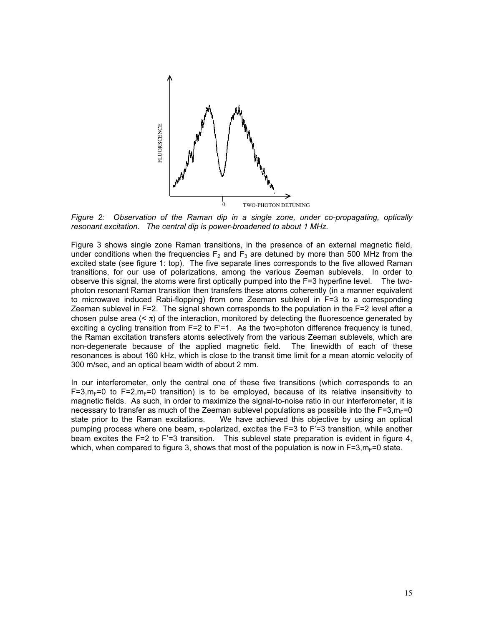

Figure 2: Observation of the Raman dip in a single zone, under co-propagating, optically resonant excitation. The central dip is power-broadened to about 1 MHz.

Figure 3 shows single zone Raman transitions, in the presence of an external magnetic field, under conditions when the frequencies  $F_2$  and  $F_3$  are detuned by more than 500 MHz from the excited state (see figure 1: top). The five separate lines corresponds to the five allowed Raman transitions, for our use of polarizations, among the various Zeeman sublevels. In order to observe this signal, the atoms were first optically pumped into the F=3 hyperfine level. The twophoton resonant Raman transition then transfers these atoms coherently (in a manner equivalent to microwave induced Rabi-flopping) from one Zeeman sublevel in F=3 to a corresponding Zeeman sublevel in F=2. The signal shown corresponds to the population in the F=2 level after a chosen pulse area  $( $\pi$ )$  of the interaction, monitored by detecting the fluorescence generated by exciting a cycling transition from F=2 to F'=1. As the two=photon difference frequency is tuned, the Raman excitation transfers atoms selectively from the various Zeeman sublevels, which are non-degenerate because of the applied magnetic field. The linewidth of each of these resonances is about 160 kHz, which is close to the transit time limit for a mean atomic velocity of 300 m/sec, and an optical beam width of about 2 mm.

In our interferometer, only the central one of these five transitions (which corresponds to an  $F=3, m<sub>F</sub>=0$  to  $F=2, m<sub>F</sub>=0$  transition) is to be employed, because of its relative insensitivity to magnetic fields. As such, in order to maximize the signal-to-noise ratio in our interferometer, it is necessary to transfer as much of the Zeeman sublevel populations as possible into the F=3, $m_F$ =0 state prior to the Raman excitations. We have achieved this objective by using an optical pumping process where one beam, π-polarized, excites the F=3 to F'=3 transition, while another beam excites the F=2 to F'=3 transition. This sublevel state preparation is evident in figure 4, which, when compared to figure 3, shows that most of the population is now in  $F=3, m_F=0$  state.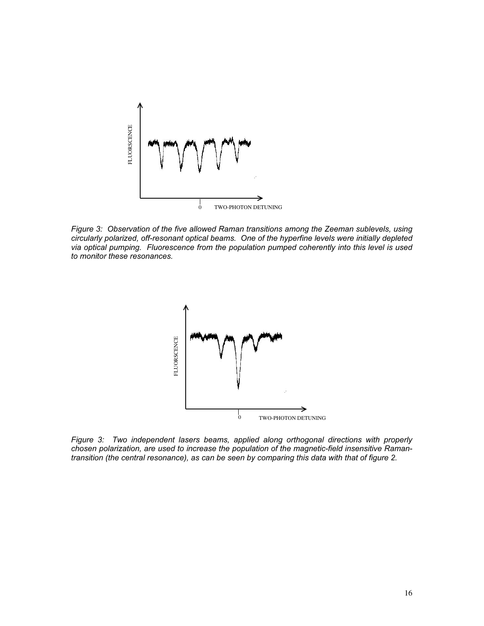

Figure 3: Observation of the five allowed Raman transitions among the Zeeman sublevels, using circularly polarized, off-resonant optical beams. One of the hyperfine levels were initially depleted via optical pumping. Fluorescence from the population pumped coherently into this level is used to monitor these resonances.



Figure 3: Two independent lasers beams, applied along orthogonal directions with properly chosen polarization, are used to increase the population of the magnetic-field insensitive Ramantransition (the central resonance), as can be seen by comparing this data with that of figure 2.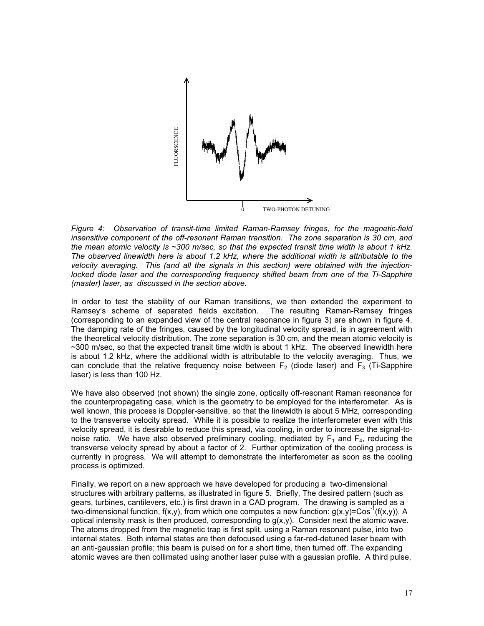

Figure 4: Observation of transit-time limited Raman-Ramsey fringes, for the magnetic-field insensitive component of the off-resonant Raman transition. The zone separation is 30 cm, and the mean atomic velocity is  $\sim$ 300 m/sec, so that the expected transit time width is about 1 kHz. The observed linewidth here is about 1.2 kHz, where the additional width is attributable to the velocity averaging. This (and all the signals in this section) were obtained with the injectionlocked diode laser and the corresponding frequency shifted beam from one of the Ti-Sapphire (master) laser, as discussed in the section above.

In order to test the stability of our Raman transitions, we then extended the experiment to Ramsey's scheme of separated fields excitation. The resulting Raman-Ramsey fringes (corresponding to an expanded view of the central resonance in figure 3) are shown in figure 4. The damping rate of the fringes, caused by the longitudinal velocity spread, is in agreement with the theoretical velocity distribution. The zone separation is 30 cm, and the mean atomic velocity is ~300 m/sec, so that the expected transit time width is about 1 kHz. The observed linewidth here is about 1.2 kHz, where the additional width is attributable to the velocity averaging. Thus, we can conclude that the relative frequency noise between  $F_2$  (diode laser) and  $F_3$  (Ti-Sapphire laser) is less than 100 Hz.

We have also observed (not shown) the single zone, optically off-resonant Raman resonance for the counterpropagating case, which is the geometry to be employed for the interferometer. As is well known, this process is Doppler-sensitive, so that the linewidth is about 5 MHz, corresponding to the transverse velocity spread. While it is possible to realize the interferometer even with this velocity spread, it is desirable to reduce this spread, via cooling, in order to increase the signal-tonoise ratio. We have also observed preliminary cooling, mediated by  $F_1$  and  $F_4$ , reducing the transverse velocity spread by about a factor of 2. Further optimization of the cooling process is currently in progress. We will attempt to demonstrate the interferometer as soon as the cooling process is optimized.

Finally, we report on a new approach we have developed for producing a two-dimensional structures with arbitrary patterns, as illustrated in figure 5. Briefly, The desired pattern (such as gears, turbines, cantilevers, etc.) is first drawn in a CAD program. The drawing is sampled as a two-dimensional function, f(x,y), from which one computes a new function:  $q(x,y)=Cos^{-1}(f(x,y))$ . A optical intensity mask is then produced, corresponding to  $g(x,y)$ . Consider next the atomic wave. The atoms dropped from the magnetic trap is first split, using a Raman resonant pulse, into two internal states. Both internal states are then defocused using a far-red-detuned laser beam with an anti-gaussian profile; this beam is pulsed on for a short time, then turned off. The expanding atomic waves are then collimated using another laser pulse with a gaussian profile. A third pulse,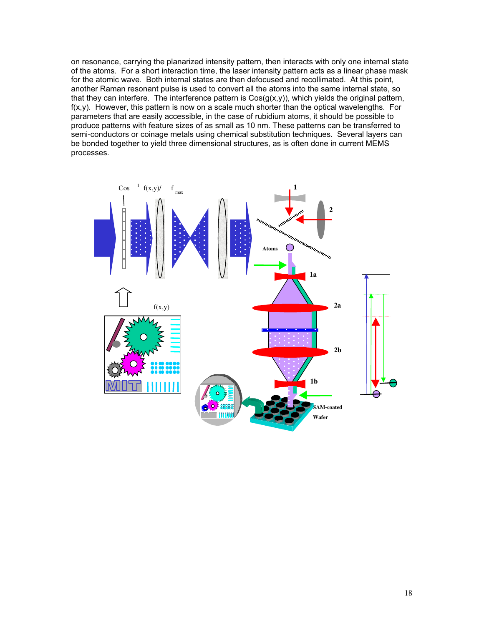on resonance, carrying the planarized intensity pattern, then interacts with only one internal state of the atoms. For a short interaction time, the laser intensity pattern acts as a linear phase mask for the atomic wave. Both internal states are then defocused and recollimated. At this point, another Raman resonant pulse is used to convert all the atoms into the same internal state, so that they can interfere. The interference pattern is  $Cos(g(x,y))$ , which yields the original pattern,  $f(x,y)$ . However, this pattern is now on a scale much shorter than the optical wavelengths. For parameters that are easily accessible, in the case of rubidium atoms, it should be possible to produce patterns with feature sizes of as small as 10 nm. These patterns can be transferred to semi-conductors or coinage metals using chemical substitution techniques. Several layers can be bonded together to yield three dimensional structures, as is often done in current MEMS processes.

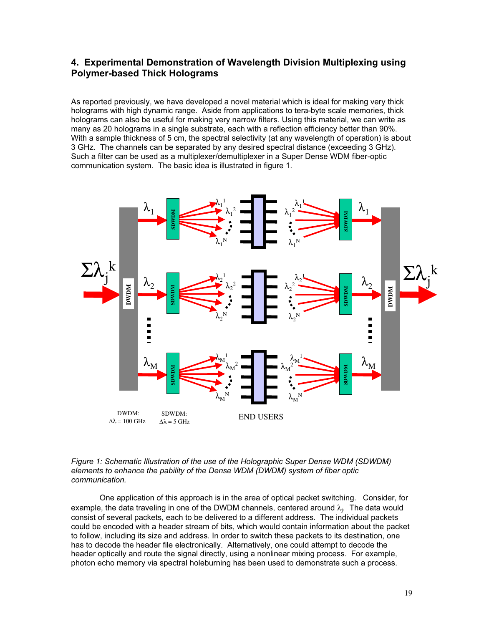# 4. Experimental Demonstration of Wavelength Division Multiplexing using Polymer-based Thick Holograms

As reported previously, we have developed a novel material which is ideal for making very thick holograms with high dynamic range. Aside from applications to tera-byte scale memories, thick holograms can also be useful for making very narrow filters. Using this material, we can write as many as 20 holograms in a single substrate, each with a reflection efficiency better than 90%. With a sample thickness of 5 cm, the spectral selectivity (at any wavelength of operation) is about 3 GHz. The channels can be separated by any desired spectral distance (exceeding 3 GHz). Such a filter can be used as a multiplexer/demultiplexer in a Super Dense WDM fiber-optic communication system. The basic idea is illustrated in figure 1.



#### Figure 1: Schematic Illustration of the use of the Holographic Super Dense WDM (SDWDM) elements to enhance the pability of the Dense WDM (DWDM) system of fiber optic communication.

 One application of this approach is in the area of optical packet switching. Consider, for example, the data traveling in one of the DWDM channels, centered around  $\lambda_j$ . The data would consist of several packets, each to be delivered to a different address. The individual packets could be encoded with a header stream of bits, which would contain information about the packet to follow, including its size and address. In order to switch these packets to its destination, one has to decode the header file electronically. Alternatively, one could attempt to decode the header optically and route the signal directly, using a nonlinear mixing process. For example, photon echo memory via spectral holeburning has been used to demonstrate such a process.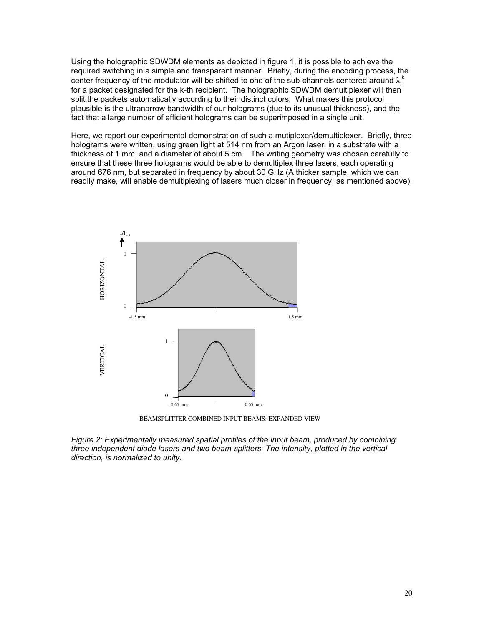Using the holographic SDWDM elements as depicted in figure 1, it is possible to achieve the required switching in a simple and transparent manner. Briefly, during the encoding process, the center frequency of the modulator will be shifted to one of the sub-channels centered around  $\lambda_j^k$ for a packet designated for the k-th recipient. The holographic SDWDM demultiplexer will then split the packets automatically according to their distinct colors. What makes this protocol plausible is the ultranarrow bandwidth of our holograms (due to its unusual thickness), and the fact that a large number of efficient holograms can be superimposed in a single unit.

Here, we report our experimental demonstration of such a mutiplexer/demultiplexer. Briefly, three holograms were written, using green light at 514 nm from an Argon laser, in a substrate with a thickness of 1 mm, and a diameter of about 5 cm. The writing geometry was chosen carefully to ensure that these three holograms would be able to demultiplex three lasers, each operating around 676 nm, but separated in frequency by about 30 GHz (A thicker sample, which we can readily make, will enable demultiplexing of lasers much closer in frequency, as mentioned above).



BEAMSPLITTER COMBINED INPUT BEAMS: EXPANDED VIEW

Figure 2: Experimentally measured spatial profiles of the input beam, produced by combining three independent diode lasers and two beam-splitters. The intensity, plotted in the vertical direction, is normalized to unity.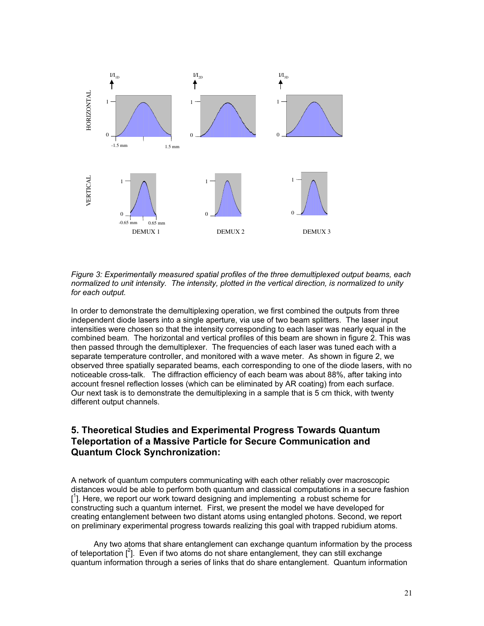

Figure 3: Experimentally measured spatial profiles of the three demultiplexed output beams, each normalized to unit intensity. The intensity, plotted in the vertical direction, is normalized to unity for each output.

In order to demonstrate the demultiplexing operation, we first combined the outputs from three independent diode lasers into a single aperture, via use of two beam splitters. The laser input intensities were chosen so that the intensity corresponding to each laser was nearly equal in the combined beam. The horizontal and vertical profiles of this beam are shown in figure 2. This was then passed through the demultiplexer. The frequencies of each laser was tuned each with a separate temperature controller, and monitored with a wave meter. As shown in figure 2, we observed three spatially separated beams, each corresponding to one of the diode lasers, with no noticeable cross-talk. The diffraction efficiency of each beam was about 88%, after taking into account fresnel reflection losses (which can be eliminated by AR coating) from each surface. Our next task is to demonstrate the demultiplexing in a sample that is 5 cm thick, with twenty different output channels.

# 5. Theoretical Studies and Experimental Progress Towards Quantum Teleportation of a Massive Particle for Secure Communication and Quantum Clock Synchronization:

A network of quantum computers communicating with each other reliably over macroscopic distances would be able to perform both quantum and classical computations in a secure fashion [<sup>1</sup>]. Here, we report our work toward designing and implementing a robust scheme for constructing such a quantum internet. First, we present the model we have developed for creating entanglement between two distant atoms using entangled photons. Second, we report on preliminary experimental progress towards realizing this goal with trapped rubidium atoms.

Any two atoms that share entanglement can exchange quantum information by the process of teleportation  $[^2]$ . Even if two atoms do not share entanglement, they can still exchange quantum information through a series of links that do share entanglement. Quantum information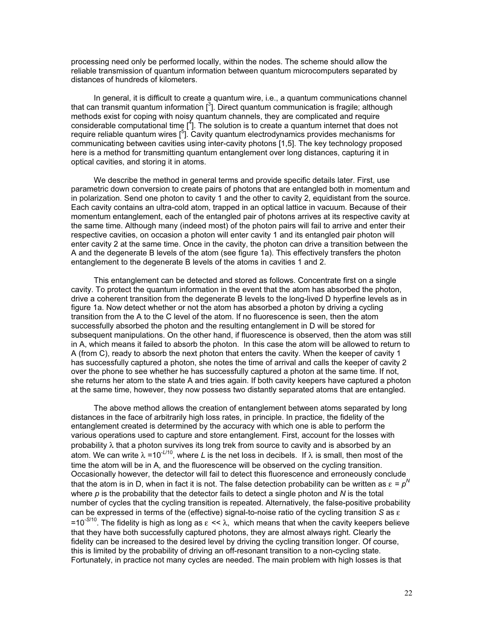processing need only be performed locally, within the nodes. The scheme should allow the reliable transmission of quantum information between quantum microcomputers separated by distances of hundreds of kilometers.

In general, it is difficult to create a quantum wire, i.e., a quantum communications channel that can transmit quantum information  $[^3]$ . Direct quantum communication is fragile; although methods exist for coping with noisy quantum channels, they are complicated and require considerable computational time  $\left[\begin{smallmatrix}4\end{smallmatrix}\right]$ . The solution is to create a quantum internet that does not require reliable quantum wires  $[5]$ . Cavity quantum electrodynamics provides mechanisms for communicating between cavities using inter-cavity photons [1,5]. The key technology proposed here is a method for transmitting quantum entanglement over long distances, capturing it in optical cavities, and storing it in atoms.

We describe the method in general terms and provide specific details later. First, use parametric down conversion to create pairs of photons that are entangled both in momentum and in polarization. Send one photon to cavity 1 and the other to cavity 2, equidistant from the source. Each cavity contains an ultra-cold atom, trapped in an optical lattice in vacuum. Because of their momentum entanglement, each of the entangled pair of photons arrives at its respective cavity at the same time. Although many (indeed most) of the photon pairs will fail to arrive and enter their respective cavities, on occasion a photon will enter cavity 1 and its entangled pair photon will enter cavity 2 at the same time. Once in the cavity, the photon can drive a transition between the A and the degenerate B levels of the atom (see figure 1a). This effectively transfers the photon entanglement to the degenerate B levels of the atoms in cavities 1 and 2.

This entanglement can be detected and stored as follows. Concentrate first on a single cavity. To protect the quantum information in the event that the atom has absorbed the photon, drive a coherent transition from the degenerate B levels to the long-lived D hyperfine levels as in figure 1a. Now detect whether or not the atom has absorbed a photon by driving a cycling transition from the A to the C level of the atom. If no fluorescence is seen, then the atom successfully absorbed the photon and the resulting entanglement in D will be stored for subsequent manipulations. On the other hand, if fluorescence is observed, then the atom was still in A, which means it failed to absorb the photon. In this case the atom will be allowed to return to A (from C), ready to absorb the next photon that enters the cavity. When the keeper of cavity 1 has successfully captured a photon, she notes the time of arrival and calls the keeper of cavity 2 over the phone to see whether he has successfully captured a photon at the same time. If not, she returns her atom to the state A and tries again. If both cavity keepers have captured a photon at the same time, however, they now possess two distantly separated atoms that are entangled.

The above method allows the creation of entanglement between atoms separated by long distances in the face of arbitrarily high loss rates, in principle. In practice, the fidelity of the entanglement created is determined by the accuracy with which one is able to perform the various operations used to capture and store entanglement. First, account for the losses with probability λ that a photon survives its long trek from source to cavity and is absorbed by an atom. We can write  $\lambda = 10^{-1/10}$ , where L is the net loss in decibels. If  $\lambda$  is small, then most of the time the atom will be in A, and the fluorescence will be observed on the cycling transition. Occasionally however, the detector will fail to detect this fluorescence and erroneously conclude that the atom is in D, when in fact it is not. The false detection probability can be written as  $\varepsilon = p^N$ where  $p$  is the probability that the detector fails to detect a single photon and  $N$  is the total number of cycles that the cycling transition is repeated. Alternatively, the false-positive probability can be expressed in terms of the (effective) signal-to-noise ratio of the cycling transition S as  $\varepsilon$ =10<sup>-S/10</sup>. The fidelity is high as long as  $\varepsilon < \lambda$ , which means that when the cavity keepers believe that they have both successfully captured photons, they are almost always right. Clearly the fidelity can be increased to the desired level by driving the cycling transition longer. Of course, this is limited by the probability of driving an off-resonant transition to a non-cycling state. Fortunately, in practice not many cycles are needed. The main problem with high losses is that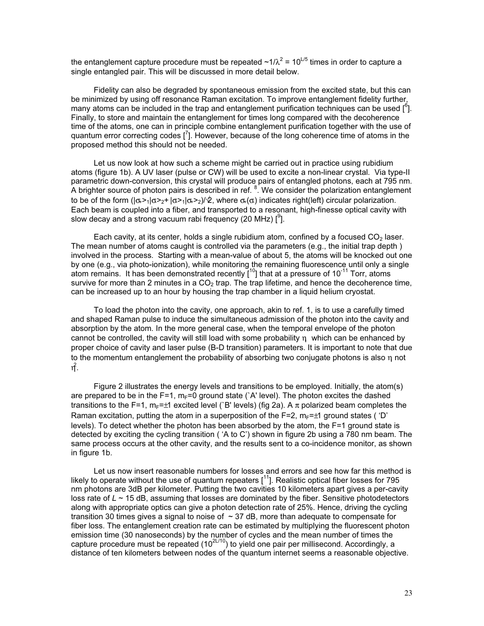the entanglement capture procedure must be repeated  $\sim$ 1/ $\lambda^2$  = 10<sup>L/5</sup> times in order to capture a single entangled pair. This will be discussed in more detail below.

Fidelity can also be degraded by spontaneous emission from the excited state, but this can be minimized by using off resonance Raman excitation. To improve entanglement fidelity further, many atoms can be included in the trap and entanglement purification techniques can be used  $[{}^{6}$ ]. Finally, to store and maintain the entanglement for times long compared with the decoherence time of the atoms, one can in principle combine entanglement purification together with the use of quantum error correcting codes  $\left[\right]$ . However, because of the long coherence time of atoms in the proposed method this should not be needed.

Let us now look at how such a scheme might be carried out in practice using rubidium atoms (figure 1b). A UV laser (pulse or CW) will be used to excite a non-linear crystal. Via type-II parametric down-conversion, this crystal will produce pairs of entangled photons, each at 795 nm. A brighter source of photon pairs is described in ref.  $8.$  We consider the polarization entanglement to be of the form  $(|\sigma_1\rangle - |\sigma_2\rangle - |\sigma_1\rangle - |\sigma_2\rangle)/\hat{\mathcal{Q}}$ , where  $\sigma_1(\sigma)$  indicates right(left) circular polarization. Each beam is coupled into a fiber, and transported to a resonant, high-finesse optical cavity with slow decay and a strong vacuum rabi frequency (20 MHz)  $[^9]$ .

Each cavity, at its center, holds a single rubidium atom, confined by a focused  $CO<sub>2</sub>$  laser. The mean number of atoms caught is controlled via the parameters (e.g., the initial trap depth ) involved in the process. Starting with a mean-value of about 5, the atoms will be knocked out one by one (e.g., via photo-ionization), while monitoring the remaining fluorescence until only a single atom remains. It has been demonstrated recently  $I^{10}$  that at a pressure of 10<sup>-11</sup> Torr, atoms survive for more than 2 minutes in a  $CO<sub>2</sub>$  trap. The trap lifetime, and hence the decoherence time, can be increased up to an hour by housing the trap chamber in a liquid helium cryostat.

To load the photon into the cavity, one approach, akin to ref. 1, is to use a carefully timed and shaped Raman pulse to induce the simultaneous admission of the photon into the cavity and absorption by the atom. In the more general case, when the temporal envelope of the photon cannot be controlled, the cavity will still load with some probability  $\eta$  which can be enhanced by proper choice of cavity and laser pulse (B-D transition) parameters. It is important to note that due to the momentum entanglement the probability of absorbing two conjugate photons is also η, not ή.

Figure 2 illustrates the energy levels and transitions to be employed. Initially, the atom(s) are prepared to be in the F=1,  $m_F=0$  ground state (`A' level). The photon excites the dashed transitions to the F=1, m<sub>F</sub>= $\pm$ 1 excited level (`B' levels) (fig 2a). A  $\pi$  polarized beam completes the Raman excitation, putting the atom in a superposition of the F=2,  $m_F = \pm 1$  ground states ( 'D' levels). To detect whether the photon has been absorbed by the atom, the F=1 ground state is detected by exciting the cycling transition ( 'A to C') shown in figure 2b using a 780 nm beam. The same process occurs at the other cavity, and the results sent to a co-incidence monitor, as shown in figure 1b.

Let us now insert reasonable numbers for losses and errors and see how far this method is likely to operate without the use of quantum repeaters  $[11]$ . Realistic optical fiber losses for 795 nm photons are 3dB per kilometer. Putting the two cavities 10 kilometers apart gives a per-cavity loss rate of  $L \sim 15$  dB, assuming that losses are dominated by the fiber. Sensitive photodetectors along with appropriate optics can give a photon detection rate of 25%. Hence, driving the cycling transition 30 times gives a signal to noise of  $\sim$  37 dB, more than adequate to compensate for fiber loss. The entanglement creation rate can be estimated by multiplying the fluorescent photon emission time (30 nanoseconds) by the number of cycles and the mean number of times the capture procedure must be repeated  $(10^{2L/10})$  to yield one pair per millisecond. Accordingly, a distance of ten kilometers between nodes of the quantum internet seems a reasonable objective.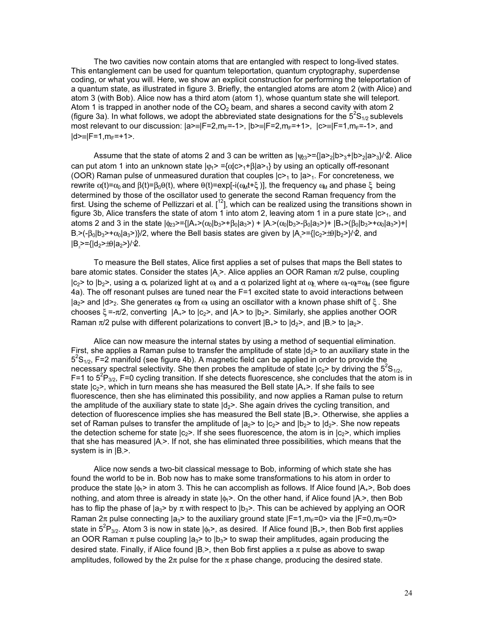The two cavities now contain atoms that are entangled with respect to long-lived states. This entanglement can be used for quantum teleportation, quantum cryptography, superdense coding, or what you will. Here, we show an explicit construction for performing the teleportation of a quantum state, as illustrated in figure 3. Briefly, the entangled atoms are atom 2 (with Alice) and atom 3 (with Bob). Alice now has a third atom (atom 1), whose quantum state she will teleport. Atom 1 is trapped in another node of the  $CO<sub>2</sub>$  beam, and shares a second cavity with atom 2 (figure 3a). In what follows, we adopt the abbreviated state designations for the  $5^{2}S_{1/2}$  sublevels most relevant to our discussion:  $|a\rangle = |F=2, m_F=-1\rangle$ ,  $|b\rangle = |F=2, m_F=+1\rangle$ ,  $|c\rangle = |F=1, m_F=-1\rangle$ , and  $|d>=|F=1,m_F=+1>$ .

Assume that the state of atoms 2 and 3 can be written as  $|\psi_{23}\rangle = {|\alpha_{21}|b_{21}|b_{22}|a_{3}}/b^2$ . Alice can put atom 1 into an unknown state  $|\phi_1\rangle = {\alpha |c\rangle_1 + \beta |a\rangle_1}$  by using an optically off-resonant (OOR) Raman pulse of unmeasured duration that couples  $|c>1$  to  $|a>1$ . For concreteness, we rewrite  $α(t)=α_0$  and  $β(t)=β_0θ(t)$ , where  $θ(t)=exp[-i(ω_0t+tξ)]$ , the frequency  $ω_0$  and phase ξ being determined by those of the oscillator used to generate the second Raman frequency from the first. Using the scheme of Pellizzari et al.  $[12]$ , which can be realized using the transitions shown in figure 3b, Alice transfers the state of atom 1 into atom 2, leaving atom 1 in a pure state  $|c>1$ , and atoms 2 and 3 in the state  $|\phi_2\rangle = { |A_2\rangle(\alpha_0|b_3\rangle + \beta_0|a_3\rangle + |A_2\rangle(\alpha_0|b_3\rangle - \beta_0|a_3\rangle + |B_1\rangle(\beta_0|b_3\rangle + \alpha_0|a_3\rangle + |A_2\rangle(\beta_0|b_3\rangle + \beta_0|a_3\rangle + |A_3\rangle(\beta_0|b_3\rangle + \beta_0|a_3\rangle + |A_4\rangle(\beta_0|b_3\rangle + \beta_0|a_3\rangle + |A_5\rangle(\beta_0|b_3\rangle +$ B.>(-β<sub>0</sub>|b<sub>3</sub>>+α<sub>0</sub>|a<sub>3</sub>>)}/2, where the Bell basis states are given by |A<sub>⊥</sub>>={|c<sub>2</sub>>±θ|b<sub>2</sub>>}/∕2, and |B<sub>⊥</sub>>={|d<sub>2</sub>>±θ|a<sub>2</sub>>}/∕2.

To measure the Bell states, Alice first applies a set of pulses that maps the Bell states to bare atomic states. Consider the states  $|A_2\rangle$ . Alice applies an OOR Raman π/2 pulse, coupling  $|c_2\rangle$  to  $|b_2\rangle$ , using a  $\sigma$  polarized light at  $\omega_1$  and a  $\sigma_2$  polarized light at  $\omega_2$ , where  $\omega_1$ - $\omega_2$ = $\omega_M$  (see figure 4a). The off resonant pulses are tuned near the F=1 excited state to avoid interactions between  $|a_2\rangle$  and  $|d\rangle$ <sub>2</sub>. She generates  $\omega_p$  from  $\omega_p$  using an oscillator with a known phase shift of  $\xi$ . She chooses  $\xi = -\pi/2$ , converting  $|A_+\rangle$  to  $|c_2\rangle$ , and  $|A_-\rangle$  to  $|b_2\rangle$ . Similarly, she applies another OOR Raman  $\pi/2$  pulse with different polarizations to convert  $|B_{+}\rangle$  to  $|d_2\rangle$ , and  $|B_{-}\rangle$  to  $|a_2\rangle$ .

Alice can now measure the internal states by using a method of sequential elimination. First, she applies a Raman pulse to transfer the amplitude of state  $\mathsf{Id}_2$ > to an auxiliary state in the  $5^{2}S_{1/2}$ , F=2 manifold (see figure 4b). A magnetic field can be applied in order to provide the necessary spectral selectivity. She then probes the amplitude of state  $|c_2\rangle$  by driving the  $5^2S_{1/2}$ , F=1 to  $5^{2}P_{3/2}$ , F=0 cycling transition. If she detects fluorescence, she concludes that the atom is in state  $|c_2\rangle$ , which in turn means she has measured the Bell state  $|A_+\rangle$ . If she fails to see fluorescence, then she has eliminated this possibility, and now applies a Raman pulse to return the amplitude of the auxiliary state to state  $|d_2\rangle$ . She again drives the cycling transition, and detection of fluorescence implies she has measured the Bell state  $|B_{+}\rangle$ . Otherwise, she applies a set of Raman pulses to transfer the amplitude of  $|a_2\rangle$  to  $|c_2\rangle$  and  $|b_2\rangle$  to  $|d_2\rangle$ . She now repeats the detection scheme for state  $|c_2\rangle$ . If she sees fluorescence, the atom is in  $|c_2\rangle$ , which implies that she has measured |A->. If not, she has eliminated three possibilities, which means that the system is in  $|B_{-}\rangle$ .

Alice now sends a two-bit classical message to Bob, informing of which state she has found the world to be in. Bob now has to make some transformations to his atom in order to produce the state  $|\phi_1\rangle$  in atom 3. This he can accomplish as follows. If Alice found  $|A_+\rangle$ , Bob does nothing, and atom three is already in state  $|\phi_1\rangle$ . On the other hand, if Alice found  $|A_1\rangle$ , then Bob has to flip the phase of  $|a_3\rangle$  by  $\pi$  with respect to  $|b_3\rangle$ . This can be achieved by applying an OOR Raman  $2\pi$  pulse connecting  $|a_3\rangle$  to the auxiliary ground state  $|F=1,m_F=0\rangle$  via the  $|F=0,m_F=0\rangle$ state in 5<sup>2</sup>P<sub>3/2</sub>. Atom 3 is now in state  $|\phi_1\rangle$ , as desired. If Alice found  $|B_{+}\rangle$ , then Bob first applies an OOR Raman  $\pi$  pulse coupling  $|a_3\rangle$  to  $|b_3\rangle$  to swap their amplitudes, again producing the desired state. Finally, if Alice found  $|B\rangle$ , then Bob first applies a  $\pi$  pulse as above to swap amplitudes, followed by the  $2\pi$  pulse for the  $\pi$  phase change, producing the desired state.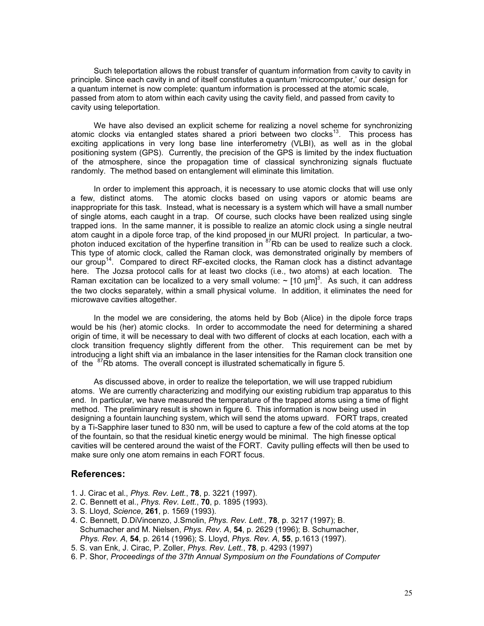Such teleportation allows the robust transfer of quantum information from cavity to cavity in principle. Since each cavity in and of itself constitutes a quantum 'microcomputer,' our design for a quantum internet is now complete: quantum information is processed at the atomic scale, passed from atom to atom within each cavity using the cavity field, and passed from cavity to cavity using teleportation.

We have also devised an explicit scheme for realizing a novel scheme for synchronizing atomic clocks via entangled states shared a priori between two clocks<sup>13</sup>. This process has exciting applications in very long base line interferometry (VLBI), as well as in the global positioning system (GPS). Currently, the precision of the GPS is limited by the index fluctuation of the atmosphere, since the propagation time of classical synchronizing signals fluctuate randomly. The method based on entanglement will eliminate this limitation.

In order to implement this approach, it is necessary to use atomic clocks that will use only a few, distinct atoms. The atomic clocks based on using vapors or atomic beams are inappropriate for this task. Instead, what is necessary is a system which will have a small number of single atoms, each caught in a trap. Of course, such clocks have been realized using single trapped ions. In the same manner, it is possible to realize an atomic clock using a single neutral atom caught in a dipole force trap, of the kind proposed in our MURI project. In particular, a twophoton induced excitation of the hyperfine transition in  ${}^{87}$ Rb can be used to realize such a clock. This type of atomic clock, called the Raman clock, was demonstrated originally by members of our group<sup>14</sup>. Compared to direct RF-excited clocks, the Raman clock has a distinct advantage here. The Jozsa protocol calls for at least two clocks (i.e., two atoms) at each location. The Raman excitation can be localized to a very small volume:  $\sim$  [10  $\mu$ m]<sup>3</sup>. As such, it can address the two clocks separately, within a small physical volume. In addition, it eliminates the need for microwave cavities altogether.

In the model we are considering, the atoms held by Bob (Alice) in the dipole force traps would be his (her) atomic clocks. In order to accommodate the need for determining a shared origin of time, it will be necessary to deal with two different of clocks at each location, each with a clock transition frequency slightly different from the other. This requirement can be met by introducing a light shift via an imbalance in the laser intensities for the Raman clock transition one of the <sup>87</sup>Rb atoms. The overall concept is illustrated schematically in figure 5.

As discussed above, in order to realize the teleportation, we will use trapped rubidium atoms. We are currently characterizing and modifying our existing rubidium trap apparatus to this end. In particular, we have measured the temperature of the trapped atoms using a time of flight method. The preliminary result is shown in figure 6. This information is now being used in designing a fountain launching system, which will send the atoms upward. FORT traps, created by a Ti-Sapphire laser tuned to 830 nm, will be used to capture a few of the cold atoms at the top of the fountain, so that the residual kinetic energy would be minimal. The high finesse optical cavities will be centered around the waist of the FORT. Cavity pulling effects will then be used to make sure only one atom remains in each FORT focus.

### References:

- 1. J. Cirac et al., Phys. Rev. Lett., 78, p. 3221 (1997).
- 2. C. Bennett et al., *Phys. Rev. Lett.*, **70**, p. 1895 (1993).
- 3. S. Lloyd, Science, 261, p. 1569 (1993).
- 4. C. Bennett, D.DiVincenzo, J.Smolin, Phys. Rev. Lett., 78, p. 3217 (1997); B. Schumacher and M. Nielsen, Phys. Rev. A, 54, p. 2629 (1996); B. Schumacher, Phys. Rev. A, 54, p. 2614 (1996); S. Lloyd, Phys. Rev. A, 55, p.1613 (1997).
- 5. S. van Enk, J. Cirac, P. Zoller, Phys. Rev. Lett., 78, p. 4293 (1997)
- 6. P. Shor, Proceedings of the 37th Annual Symposium on the Foundations of Computer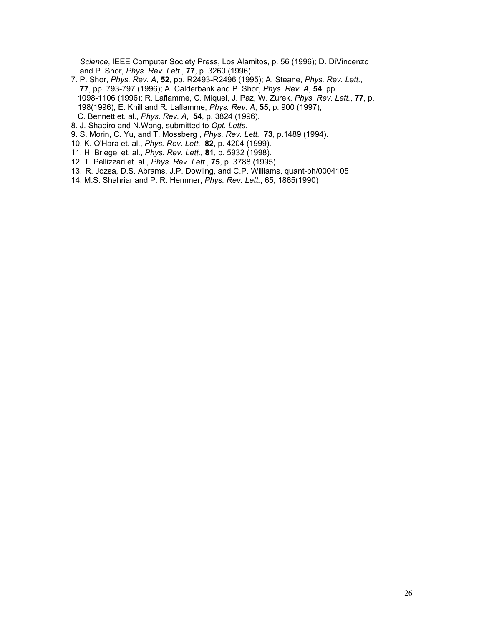Science, IEEE Computer Society Press, Los Alamitos, p. 56 (1996); D. DiVincenzo and P. Shor, Phys. Rev. Lett., 77, p. 3260 (1996).

- 7. P. Shor, Phys. Rev. A, 52, pp. R2493-R2496 (1995); A. Steane, Phys. Rev. Lett., 77, pp. 793-797 (1996); A. Calderbank and P. Shor, Phys. Rev. A, 54, pp. 1098-1106 (1996); R. Laflamme, C. Miquel, J. Paz, W. Zurek, Phys. Rev. Lett., 77, p. 198(1996); E. Knill and R. Laflamme, Phys. Rev. A, 55, p. 900 (1997); C. Bennett et. al., Phys. Rev. A, 54, p. 3824 (1996).
- 8. J. Shapiro and N.Wong, submitted to Opt. Letts.
- 9. S. Morin, C. Yu, and T. Mossberg , Phys. Rev. Lett. 73, p.1489 (1994).
- 10. K. O'Hara et. al., Phys. Rev. Lett. 82, p. 4204 (1999).
- 11. H. Briegel et. al., Phys. Rev. Lett., 81, p. 5932 (1998).
- 12. T. Pellizzari et. al., Phys. Rev. Lett., 75, p. 3788 (1995).
- 13. R. Jozsa, D.S. Abrams, J.P. Dowling, and C.P. Williams, quant-ph/0004105
- 14. M.S. Shahriar and P. R. Hemmer, Phys. Rev. Lett., 65, 1865(1990)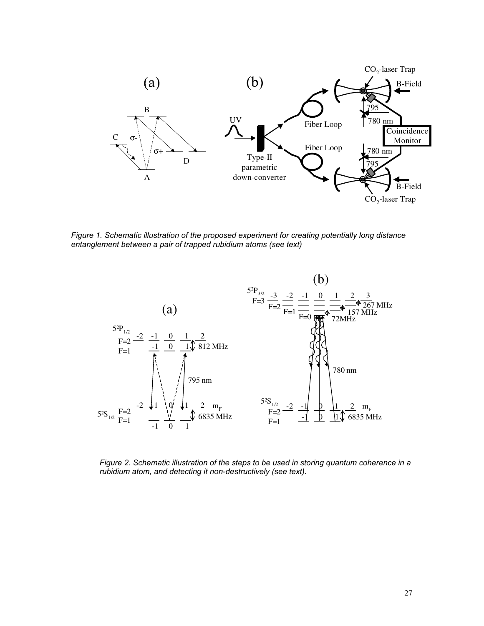

Figure 1. Schematic illustration of the proposed experiment for creating potentially long distance entanglement between a pair of trapped rubidium atoms (see text)



Figure 2. Schematic illustration of the steps to be used in storing quantum coherence in a rubidium atom, and detecting it non-destructively (see text).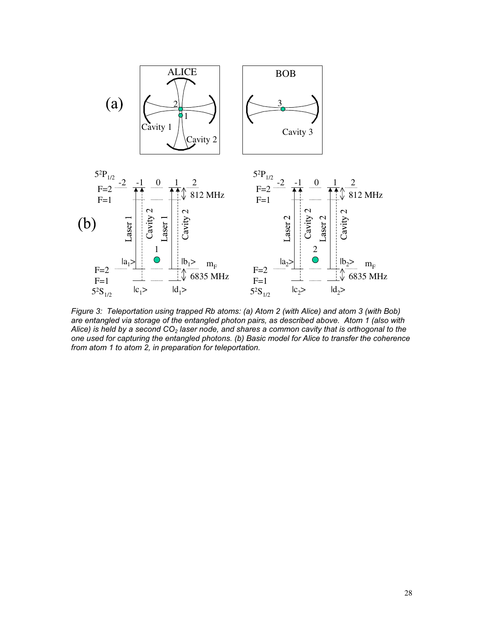

Figure 3: Teleportation using trapped Rb atoms: (a) Atom 2 (with Alice) and atom 3 (with Bob) are entangled via storage of the entangled photon pairs, as described above. Atom 1 (also with Alice) is held by a second  $CO<sub>2</sub>$  laser node, and shares a common cavity that is orthogonal to the one used for capturing the entangled photons. (b) Basic model for Alice to transfer the coherence from atom 1 to atom 2, in preparation for teleportation.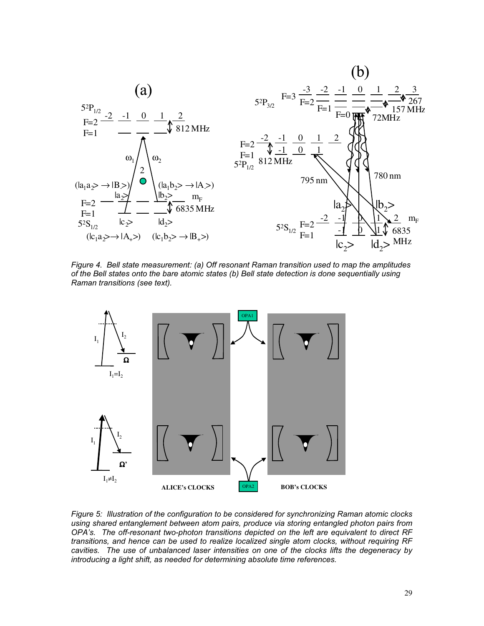

Figure 4. Bell state measurement: (a) Off resonant Raman transition used to map the amplitudes of the Bell states onto the bare atomic states (b) Bell state detection is done sequentially using Raman transitions (see text).



Figure 5: Illustration of the configuration to be considered for synchronizing Raman atomic clocks using shared entanglement between atom pairs, produce via storing entangled photon pairs from OPA's. The off-resonant two-photon transitions depicted on the left are equivalent to direct RF transitions, and hence can be used to realize localized single atom clocks, without requiring RF cavities. The use of unbalanced laser intensities on one of the clocks lifts the degeneracy by introducing a light shift, as needed for determining absolute time references.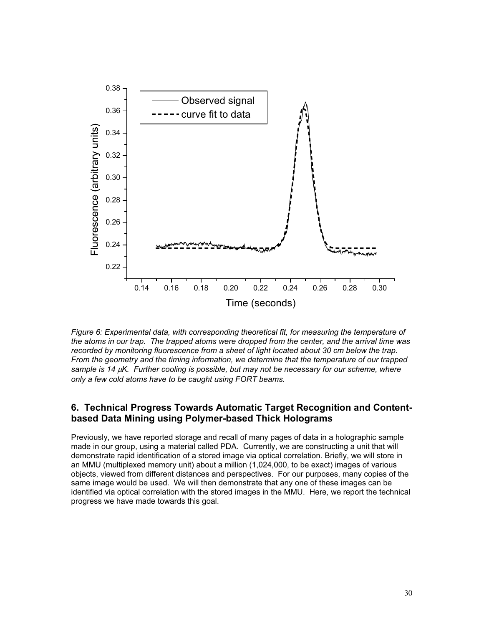

Figure 6: Experimental data, with corresponding theoretical fit, for measuring the temperature of the atoms in our trap. The trapped atoms were dropped from the center, and the arrival time was recorded by monitoring fluorescence from a sheet of light located about 30 cm below the trap. From the geometry and the timing information, we determine that the temperature of our trapped sample is 14 µK. Further cooling is possible, but may not be necessary for our scheme, where only a few cold atoms have to be caught using FORT beams.

### 6. Technical Progress Towards Automatic Target Recognition and Contentbased Data Mining using Polymer-based Thick Holograms

Previously, we have reported storage and recall of many pages of data in a holographic sample made in our group, using a material called PDA. Currently, we are constructing a unit that will demonstrate rapid identification of a stored image via optical correlation. Briefly, we will store in an MMU (multiplexed memory unit) about a million (1,024,000, to be exact) images of various objects, viewed from different distances and perspectives. For our purposes, many copies of the same image would be used. We will then demonstrate that any one of these images can be identified via optical correlation with the stored images in the MMU. Here, we report the technical progress we have made towards this goal.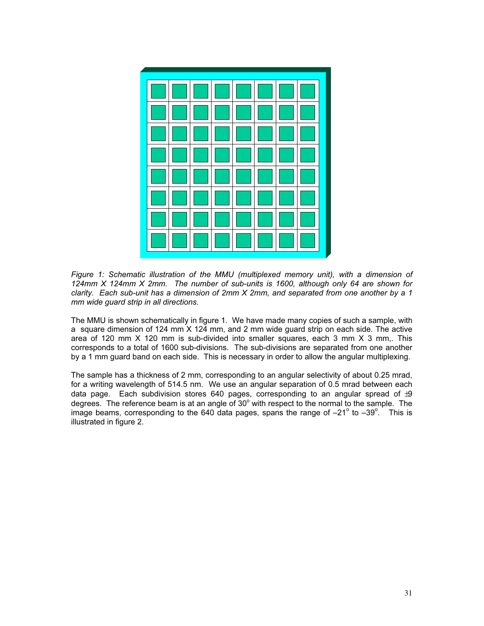

 Figure 1: Schematic illustration of the MMU (multiplexed memory unit), with a dimension of 124mm X 124mm X 2mm. The number of sub-units is 1600, although only 64 are shown for clarity. Each sub-unit has a dimension of 2mm X 2mm, and separated from one another by a 1 mm wide guard strip in all directions.

The MMU is shown schematically in figure 1. We have made many copies of such a sample, with a square dimension of 124 mm X 124 mm, and 2 mm wide guard strip on each side. The active area of 120 mm X 120 mm is sub-divided into smaller squares, each 3 mm X 3 mm,. This corresponds to a total of 1600 sub-divisions. The sub-divisions are separated from one another by a 1 mm guard band on each side. This is necessary in order to allow the angular multiplexing.

The sample has a thickness of 2 mm, corresponding to an angular selectivity of about 0.25 mrad, for a writing wavelength of 514.5 nm. We use an angular separation of 0.5 mrad between each data page. Each subdivision stores 640 pages, corresponding to an angular spread of  $\pm 9$ degrees. The reference beam is at an angle of  $30^{\circ}$  with respect to the normal to the sample. The image beams, corresponding to the 640 data pages, spans the range of  $-21^\circ$  to  $-39^\circ$ . This is illustrated in figure 2.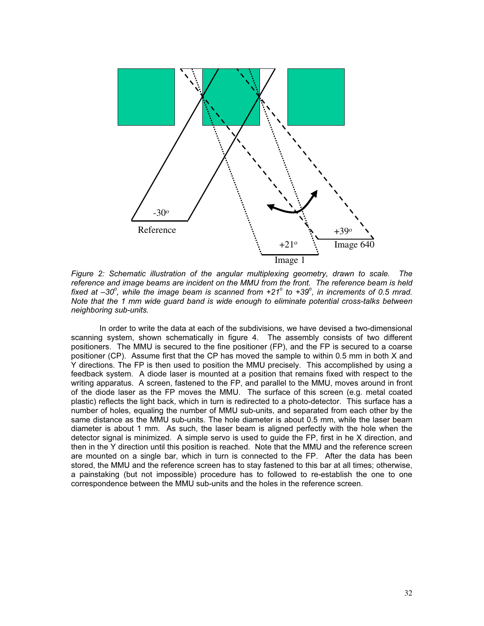

 Figure 2: Schematic illustration of the angular multiplexing geometry, drawn to scale. The reference and image beams are incident on the MMU from the front. The reference beam is held fixed at  $-30^{\circ}$ , while the image beam is scanned from  $+21^{\circ}$  to  $+39^{\circ}$ , in increments of 0.5 mrad. Note that the 1 mm wide guard band is wide enough to eliminate potential cross-talks between neighboring sub-units.

In order to write the data at each of the subdivisions, we have devised a two-dimensional scanning system, shown schematically in figure 4. The assembly consists of two different positioners. The MMU is secured to the fine positioner (FP), and the FP is secured to a coarse positioner (CP). Assume first that the CP has moved the sample to within 0.5 mm in both X and Y directions. The FP is then used to position the MMU precisely. This accomplished by using a feedback system. A diode laser is mounted at a position that remains fixed with respect to the writing apparatus. A screen, fastened to the FP, and parallel to the MMU, moves around in front of the diode laser as the FP moves the MMU. The surface of this screen (e.g. metal coated plastic) reflects the light back, which in turn is redirected to a photo-detector. This surface has a number of holes, equaling the number of MMU sub-units, and separated from each other by the same distance as the MMU sub-units. The hole diameter is about 0.5 mm, while the laser beam diameter is about 1 mm. As such, the laser beam is aligned perfectly with the hole when the detector signal is minimized. A simple servo is used to guide the FP, first in he X direction, and then in the Y direction until this position is reached. Note that the MMU and the reference screen are mounted on a single bar, which in turn is connected to the FP. After the data has been stored, the MMU and the reference screen has to stay fastened to this bar at all times; otherwise, a painstaking (but not impossible) procedure has to followed to re-establish the one to one correspondence between the MMU sub-units and the holes in the reference screen.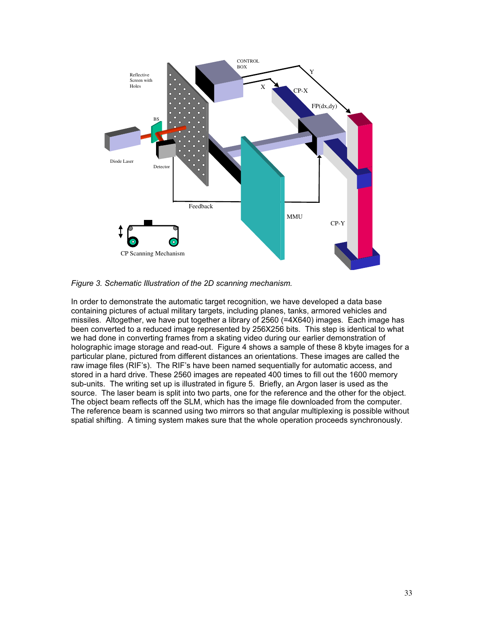

Figure 3. Schematic Illustration of the 2D scanning mechanism.

In order to demonstrate the automatic target recognition, we have developed a data base containing pictures of actual military targets, including planes, tanks, armored vehicles and missiles. Altogether, we have put together a library of 2560 (=4X640) images. Each image has been converted to a reduced image represented by 256X256 bits. This step is identical to what we had done in converting frames from a skating video during our earlier demonstration of holographic image storage and read-out. Figure 4 shows a sample of these 8 kbyte images for a particular plane, pictured from different distances an orientations. These images are called the raw image files (RIF's). The RIF's have been named sequentially for automatic access, and stored in a hard drive. These 2560 images are repeated 400 times to fill out the 1600 memory sub-units. The writing set up is illustrated in figure 5. Briefly, an Argon laser is used as the source. The laser beam is split into two parts, one for the reference and the other for the object. The object beam reflects off the SLM, which has the image file downloaded from the computer. The reference beam is scanned using two mirrors so that angular multiplexing is possible without spatial shifting. A timing system makes sure that the whole operation proceeds synchronously.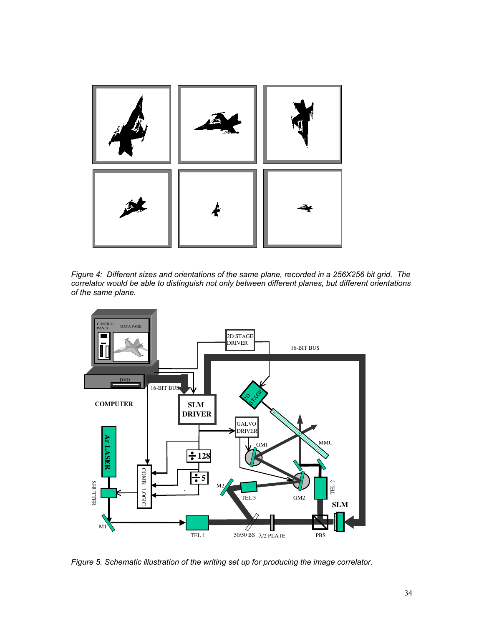

Figure 4: Different sizes and orientations of the same plane, recorded in a 256X256 bit grid. The correlator would be able to distinguish not only between different planes, but different orientations of the same plane.



Figure 5. Schematic illustration of the writing set up for producing the image correlator.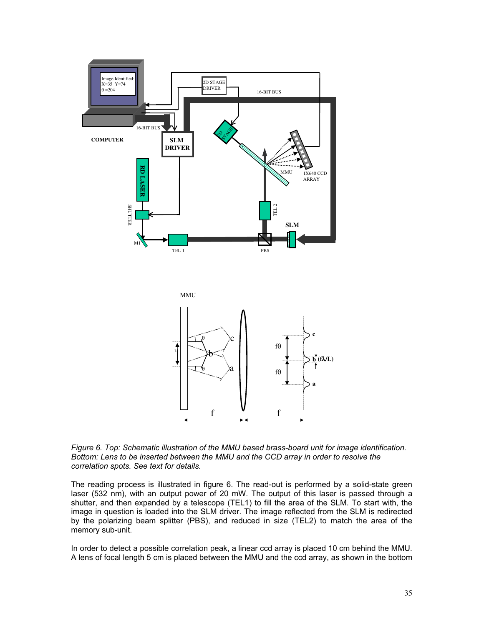

Figure 6. Top: Schematic illustration of the MMU based brass-board unit for image identification. Bottom: Lens to be inserted between the MMU and the CCD array in order to resolve the correlation spots. See text for details.

The reading process is illustrated in figure 6. The read-out is performed by a solid-state green laser (532 nm), with an output power of 20 mW. The output of this laser is passed through a shutter, and then expanded by a telescope (TEL1) to fill the area of the SLM. To start with, the image in question is loaded into the SLM driver. The image reflected from the SLM is redirected by the polarizing beam splitter (PBS), and reduced in size (TEL2) to match the area of the memory sub-unit.

In order to detect a possible correlation peak, a linear ccd array is placed 10 cm behind the MMU. A lens of focal length 5 cm is placed between the MMU and the ccd array, as shown in the bottom